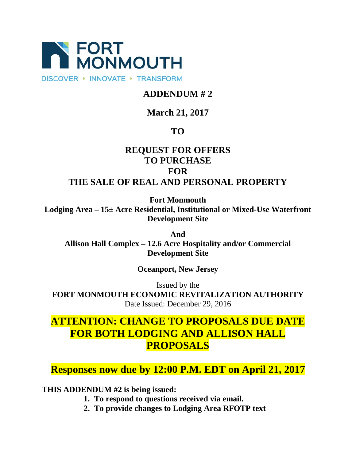

DISCOVER > INNOVATE > TRANSFORM

## **ADDENDUM # 2**

## **March 21, 2017**

## **TO**

## **REQUEST FOR OFFERS TO PURCHASE FOR THE SALE OF REAL AND PERSONAL PROPERTY**

**Fort Monmouth**

**Lodging Area – 15± Acre Residential, Institutional or Mixed-Use Waterfront Development Site**

**And Allison Hall Complex – 12.6 Acre Hospitality and/or Commercial Development Site**

**Oceanport, New Jersey**

Issued by the **FORT MONMOUTH ECONOMIC REVITALIZATION AUTHORITY** Date Issued: December 29, 2016

# **ATTENTION: CHANGE TO PROPOSALS DUE DATE FOR BOTH LODGING AND ALLISON HALL PROPOSALS**

**Responses now due by 12:00 P.M. EDT on April 21, 2017**

**THIS ADDENDUM #2 is being issued:**

- **1. To respond to questions received via email.**
- **2. To provide changes to Lodging Area RFOTP text**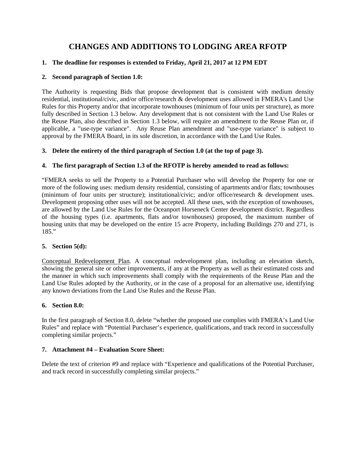### **CHANGES AND ADDITIONS TO LODGING AREA RFOTP**

#### **1. The deadline for responses is extended to Friday, April 21, 2017 at 12 PM EDT**

#### **2. Second paragraph of Section 1.0:**

The Authority is requesting Bids that propose development that is consistent with medium density residential, institutional/civic, and/or office/research & development uses allowed in FMERA's Land Use Rules for this Property and/or that incorporate townhouses (minimum of four units per structure), as more fully described in Section 1.3 below. Any development that is not consistent with the Land Use Rules or the Reuse Plan, also described in Section 1.3 below, will require an amendment to the Reuse Plan or, if applicable, a "use-type variance". Any Reuse Plan amendment and "use-type variance" is subject to approval by the FMERA Board, in its sole discretion, in accordance with the Land Use Rules.

#### **3. Delete the entirety of the third paragraph of Section 1.0 (at the top of page 3).**

#### **4. The first paragraph of Section 1.3 of the RFOTP is hereby amended to read as follows:**

"FMERA seeks to sell the Property to a Potential Purchaser who will develop the Property for one or more of the following uses: medium density residential, consisting of apartments and/or flats; townhouses (minimum of four units per structure); institutional/civic; and/or office/research & development uses. Development proposing other uses will not be accepted. All these uses, with the exception of townhouses, are allowed by the Land Use Rules for the Oceanport Horseneck Center development district. Regardless of the housing types (i.e. apartments, flats and/or townhouses) proposed, the maximum number of housing units that may be developed on the entire 15 acre Property, including Buildings 270 and 271, is 185."

#### **5. Section 5(d):**

Conceptual Redevelopment Plan. A conceptual redevelopment plan, including an elevation sketch, showing the general site or other improvements, if any at the Property as well as their estimated costs and the manner in which such improvements shall comply with the requirements of the Reuse Plan and the Land Use Rules adopted by the Authority, or in the case of a proposal for an alternative use, identifying any known deviations from the Land Use Rules and the Reuse Plan.

#### **6. Section 8.0:**

In the first paragraph of Section 8.0, delete "whether the proposed use complies with FMERA's Land Use Rules" and replace with "Potential Purchaser's experience, qualifications, and track record in successfully completing similar projects."

#### **7. Attachment #4 – Evaluation Score Sheet:**

Delete the text of criterion #9 and replace with "Experience and qualifications of the Potential Purchaser, and track record in successfully completing similar projects."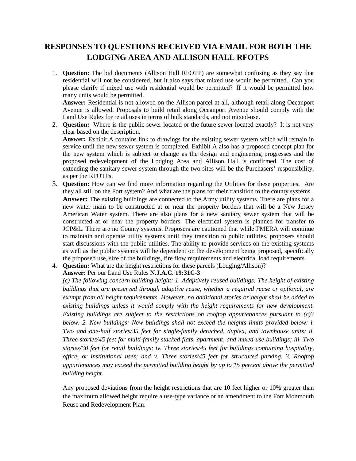### **RESPONSES TO QUESTIONS RECEIVED VIA EMAIL FOR BOTH THE LODGING AREA AND ALLISON HALL RFOTPS**

1. **Question:** The bid documents (Allison Hall RFOTP) are somewhat confusing as they say that residential will not be considered, but it also says that mixed use would be permitted. Can you please clarify if mixed use with residential would be permitted? If it would be permitted how many units would be permitted.

**Answer:** Residential is not allowed on the Allison parcel at all, although retail along Oceanport Avenue is allowed. Proposals to build retail along Oceanport Avenue should comply with the Land Use Rules for retail uses in terms of bulk standards, and not mixed-use.

2. **Question:** Where is the public sewer located or the future sewer located exactly? It is not very clear based on the description. **Answer:** Exhibit A contains link to drawings for the existing sewer system which will remain in service until the new sewer system is completed. Exhibit A also has a proposed concept plan for the new system which is subject to change as the design and engineering progresses and the

proposed redevelopment of the Lodging Area and Allison Hall is confirmed. The cost of extending the sanitary sewer system through the two sites will be the Purchasers' responsibility, as per the RFOTPs.

- 3. **Question:** How can we find more information regarding the Utilities for these properties. Are they all still on the Fort system? And what are the plans for their transition to the county systems. **Answer:** The existing buildings are connected to the Army utility systems. There are plans for a new water main to be constructed at or near the property borders that will be a New Jersey American Water system. There are also plans for a new sanitary sewer system that will be constructed at or near the property borders. The electrical system is planned for transfer to JCP&L. There are no County systems. Proposers are cautioned that while FMERA will continue to maintain and operate utility systems until they transition to public utilities, proposers should start discussions with the public utilities. The ability to provide services on the existing systems as well as the public systems will be dependent on the development being proposed, specifically the proposed use, size of the buildings, fire flow requirements and electrical load requirements.
- 4. **Question:** What are the height restrictions for these parcels (Lodging/Allison)?

**Answer:** Per our Land Use Rules **N.J.A.C. 19:31C-3** 

*(c) The following concern building height: 1. Adaptively reused buildings: The height of existing buildings that are preserved through adaptive reuse, whether a required reuse or optional, are exempt from all height requirements. However, no additional stories or height shall be added to existing buildings unless it would comply with the height requirements for new development. Existing buildings are subject to the restrictions on rooftop appurtenances pursuant to (c)3 below. 2. New buildings: New buildings shall not exceed the heights limits provided below: i. Two and one-half stories/35 feet for single-family detached, duplex, and townhouse units; ii. Three stories/45 feet for multi-family stacked flats, apartment, and mixed-use buildings; iii. Two stories/30 feet for retail buildings; iv. Three stories/45 feet for buildings containing hospitality, office, or institutional uses; and v. Three stories/45 feet for structured parking. 3. Rooftop appurtenances may exceed the permitted building height by up to 15 percent above the permitted building height.*

Any proposed deviations from the height restrictions that are 10 feet higher or 10% greater than the maximum allowed height require a use-type variance or an amendment to the Fort Monmouth Reuse and Redevelopment Plan.